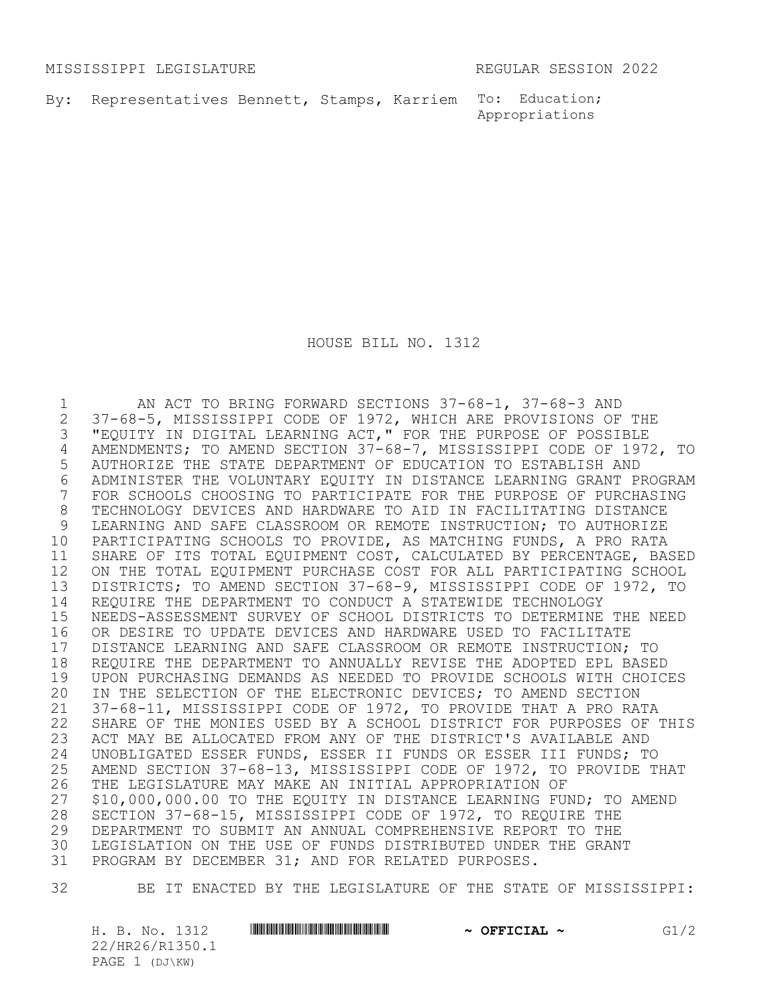MISSISSIPPI LEGISLATURE REGULAR SESSION 2022

By: Representatives Bennett, Stamps, Karriem To: Education; Appropriations

HOUSE BILL NO. 1312

1 AN ACT TO BRING FORWARD SECTIONS 37-68-1, 37-68-3 AND<br>2 37-68-5, MISSISSIPPI CODE OF 1972, WHICH ARE PROVISIONS OF 2 37-68-5, MISSISSIPPI CODE OF 1972, WHICH ARE PROVISIONS OF THE<br>3 "EQUITY IN DIGITAL LEARNING ACT," FOR THE PURPOSE OF POSSIBLE "EQUITY IN DIGITAL LEARNING ACT," FOR THE PURPOSE OF POSSIBLE 4 AMENDMENTS; TO AMEND SECTION 37-68-7, MISSISSIPPI CODE OF 1972, TO<br>5 AUTHORIZE THE STATE DEPARTMENT OF EDUCATION TO ESTABLISH AND AUTHORIZE THE STATE DEPARTMENT OF EDUCATION TO ESTABLISH AND ADMINISTER THE VOLUNTARY EQUITY IN DISTANCE LEARNING GRANT PROGRAM FOR SCHOOLS CHOOSING TO PARTICIPATE FOR THE PURPOSE OF PURCHASING TECHNOLOGY DEVICES AND HARDWARE TO AID IN FACILITATING DISTANCE LEARNING AND SAFE CLASSROOM OR REMOTE INSTRUCTION; TO AUTHORIZE PARTICIPATING SCHOOLS TO PROVIDE, AS MATCHING FUNDS, A PRO RATA SHARE OF ITS TOTAL EQUIPMENT COST, CALCULATED BY PERCENTAGE, BASED ON THE TOTAL EQUIPMENT PURCHASE COST FOR ALL PARTICIPATING SCHOOL DISTRICTS; TO AMEND SECTION 37-68-9, MISSISSIPPI CODE OF 1972, TO REQUIRE THE DEPARTMENT TO CONDUCT A STATEWIDE TECHNOLOGY NEEDS-ASSESSMENT SURVEY OF SCHOOL DISTRICTS TO DETERMINE THE NEED OR DESIRE TO UPDATE DEVICES AND HARDWARE USED TO FACILITATE 17 DISTANCE LEARNING AND SAFE CLASSROOM OR REMOTE INSTRUCTION; TO<br>18 REOUIRE THE DEPARTMENT TO ANNUALLY REVISE THE ADOPTED EPL BASE 18 REQUIRE THE DEPARTMENT TO ANNUALLY REVISE THE ADOPTED EPL BASED<br>19 UPON PURCHASING DEMANDS AS NEEDED TO PROVIDE SCHOOLS WITH CHOIC UPON PURCHASING DEMANDS AS NEEDED TO PROVIDE SCHOOLS WITH CHOICES IN THE SELECTION OF THE ELECTRONIC DEVICES; TO AMEND SECTION 37-68-11, MISSISSIPPI CODE OF 1972, TO PROVIDE THAT A PRO RATA SHARE OF THE MONIES USED BY A SCHOOL DISTRICT FOR PURPOSES OF THIS ACT MAY BE ALLOCATED FROM ANY OF THE DISTRICT'S AVAILABLE AND 24 UNOBLIGATED ESSER FUNDS, ESSER II FUNDS OR ESSER III FUNDS; TO<br>25 AMEND SECTION 37-68-13, MISSISSIPPI CODE OF 1972, TO PROVIDE T 25 AMEND SECTION 37-68-13, MISSISSIPPI CODE OF 1972, TO PROVIDE THAT<br>26 THE LEGISLATURE MAY MAKE AN INITIAL APPROPRIATION OF THE LEGISLATURE MAY MAKE AN INITIAL APPROPRIATION OF \$10,000,000.00 TO THE EQUITY IN DISTANCE LEARNING FUND; TO AMEND SECTION 37-68-15, MISSISSIPPI CODE OF 1972, TO REQUIRE THE DEPARTMENT TO SUBMIT AN ANNUAL COMPREHENSIVE REPORT TO THE LEGISLATION ON THE USE OF FUNDS DISTRIBUTED UNDER THE GRANT PROGRAM BY DECEMBER 31; AND FOR RELATED PURPOSES.

32 BE IT ENACTED BY THE LEGISLATURE OF THE STATE OF MISSISSIPPI:

H. B. No. 1312 **HREFREE REEL 2** *with the CHAL* $\sim$  **OFFICIAL**  $\sim$  **G1/2** 22/HR26/R1350.1 PAGE 1 (DJ\KW)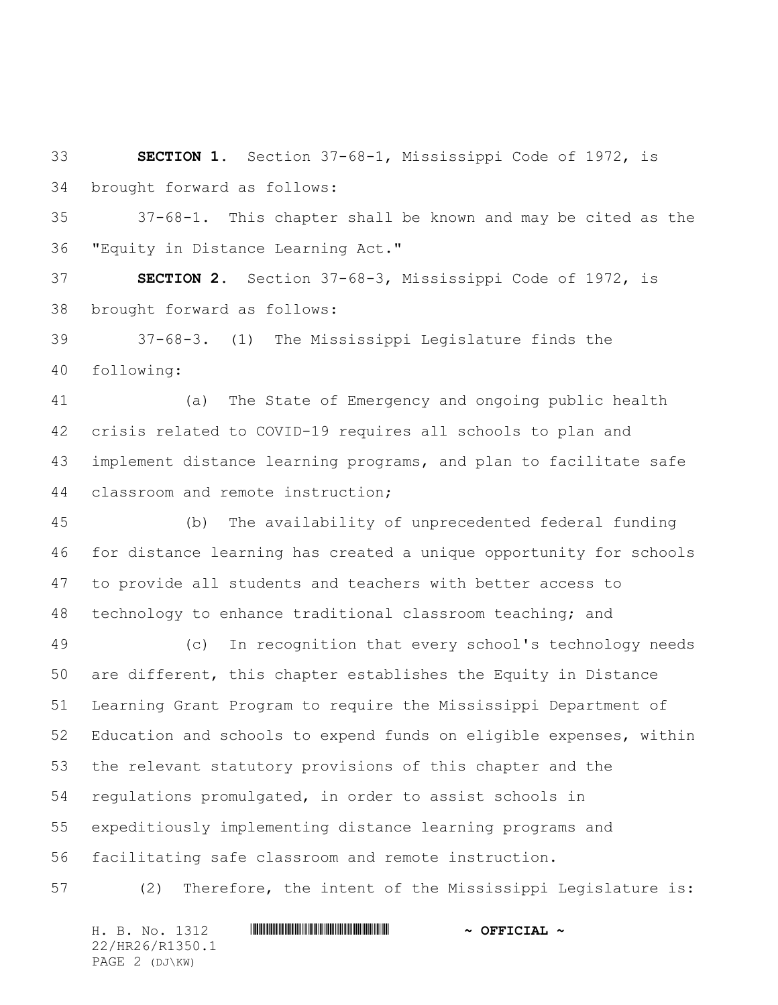**SECTION 1.** Section 37-68-1, Mississippi Code of 1972, is brought forward as follows:

 37-68-1. This chapter shall be known and may be cited as the "Equity in Distance Learning Act."

 **SECTION 2.** Section 37-68-3, Mississippi Code of 1972, is brought forward as follows:

 37-68-3. (1) The Mississippi Legislature finds the following:

 (a) The State of Emergency and ongoing public health crisis related to COVID-19 requires all schools to plan and implement distance learning programs, and plan to facilitate safe classroom and remote instruction;

 (b) The availability of unprecedented federal funding for distance learning has created a unique opportunity for schools to provide all students and teachers with better access to technology to enhance traditional classroom teaching; and

 (c) In recognition that every school's technology needs are different, this chapter establishes the Equity in Distance Learning Grant Program to require the Mississippi Department of Education and schools to expend funds on eligible expenses, within the relevant statutory provisions of this chapter and the regulations promulgated, in order to assist schools in expeditiously implementing distance learning programs and facilitating safe classroom and remote instruction.

(2) Therefore, the intent of the Mississippi Legislature is:

H. B. No. 1312 **. AND AND AN ABLE AND ARRIVE AT A DEFICIAL ~** 22/HR26/R1350.1 PAGE 2 (DJ\KW)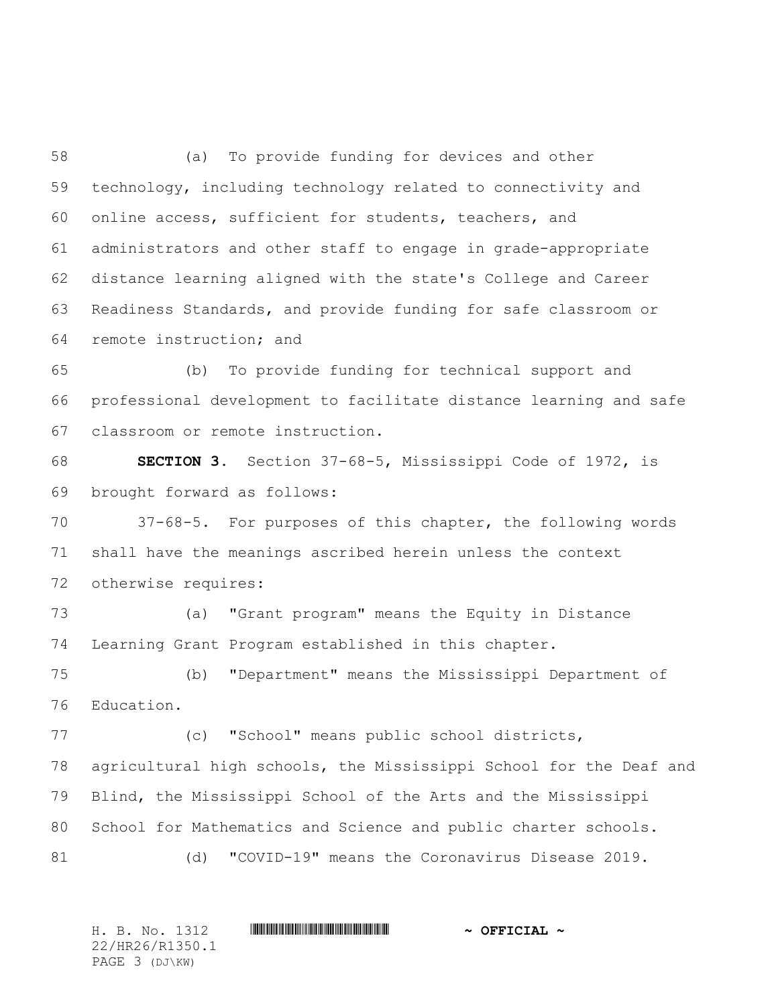(a) To provide funding for devices and other technology, including technology related to connectivity and online access, sufficient for students, teachers, and administrators and other staff to engage in grade-appropriate distance learning aligned with the state's College and Career Readiness Standards, and provide funding for safe classroom or remote instruction; and

 (b) To provide funding for technical support and professional development to facilitate distance learning and safe classroom or remote instruction.

 **SECTION 3.** Section 37-68-5, Mississippi Code of 1972, is brought forward as follows:

 37-68-5. For purposes of this chapter, the following words shall have the meanings ascribed herein unless the context otherwise requires:

 (a) "Grant program" means the Equity in Distance Learning Grant Program established in this chapter.

 (b) "Department" means the Mississippi Department of Education.

 (c) "School" means public school districts, agricultural high schools, the Mississippi School for the Deaf and Blind, the Mississippi School of the Arts and the Mississippi School for Mathematics and Science and public charter schools. (d) "COVID-19" means the Coronavirus Disease 2019.

H. B. No. 1312 **. An Executed Allen and Allie And Allie Allie And Allie And Allie And Allie And Allie A** 22/HR26/R1350.1 PAGE 3 (DJ\KW)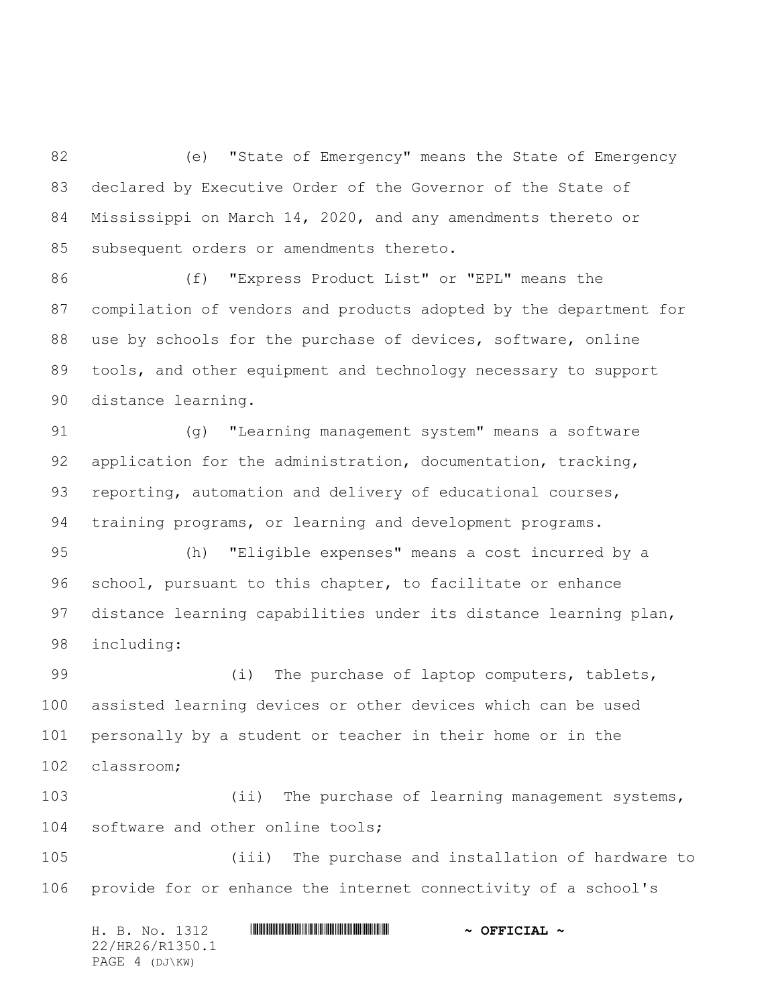(e) "State of Emergency" means the State of Emergency declared by Executive Order of the Governor of the State of Mississippi on March 14, 2020, and any amendments thereto or subsequent orders or amendments thereto.

 (f) "Express Product List" or "EPL" means the compilation of vendors and products adopted by the department for 88 use by schools for the purchase of devices, software, online tools, and other equipment and technology necessary to support distance learning.

 (g) "Learning management system" means a software 92 application for the administration, documentation, tracking, reporting, automation and delivery of educational courses, training programs, or learning and development programs.

 (h) "Eligible expenses" means a cost incurred by a school, pursuant to this chapter, to facilitate or enhance distance learning capabilities under its distance learning plan, including:

99 (i) The purchase of laptop computers, tablets, assisted learning devices or other devices which can be used personally by a student or teacher in their home or in the classroom;

 (ii) The purchase of learning management systems, 104 software and other online tools;

 (iii) The purchase and installation of hardware to provide for or enhance the internet connectivity of a school's

H. B. No. 1312 **HRANG HARASH RANGE AND A OFFICIAL ~** 22/HR26/R1350.1 PAGE 4 (DJ\KW)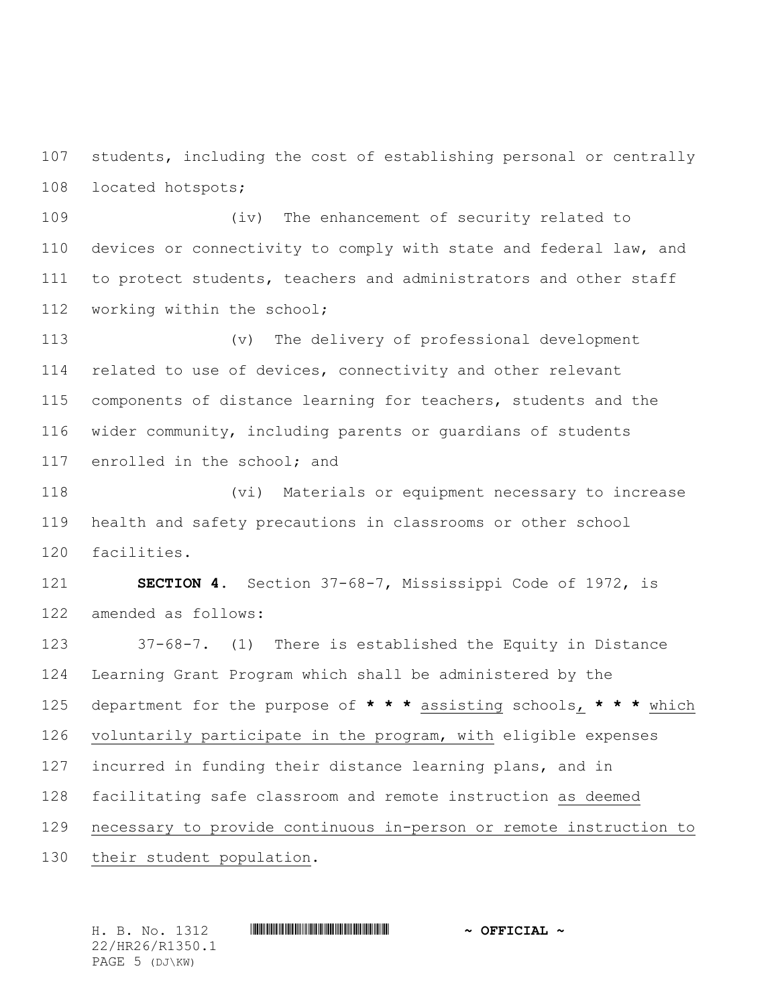students, including the cost of establishing personal or centrally located hotspots;

 (iv) The enhancement of security related to devices or connectivity to comply with state and federal law, and to protect students, teachers and administrators and other staff 112 working within the school;

 (v) The delivery of professional development related to use of devices, connectivity and other relevant components of distance learning for teachers, students and the wider community, including parents or guardians of students enrolled in the school; and

 (vi) Materials or equipment necessary to increase health and safety precautions in classrooms or other school facilities.

 **SECTION 4.** Section 37-68-7, Mississippi Code of 1972, is amended as follows:

 37-68-7. (1) There is established the Equity in Distance Learning Grant Program which shall be administered by the department for the purpose of **\* \* \*** assisting schools, **\* \* \*** which voluntarily participate in the program, with eligible expenses incurred in funding their distance learning plans, and in facilitating safe classroom and remote instruction as deemed necessary to provide continuous in-person or remote instruction to their student population.

H. B. No. 1312 \*HR26/R1350.1\* **~ OFFICIAL ~** 22/HR26/R1350.1 PAGE 5 (DJ\KW)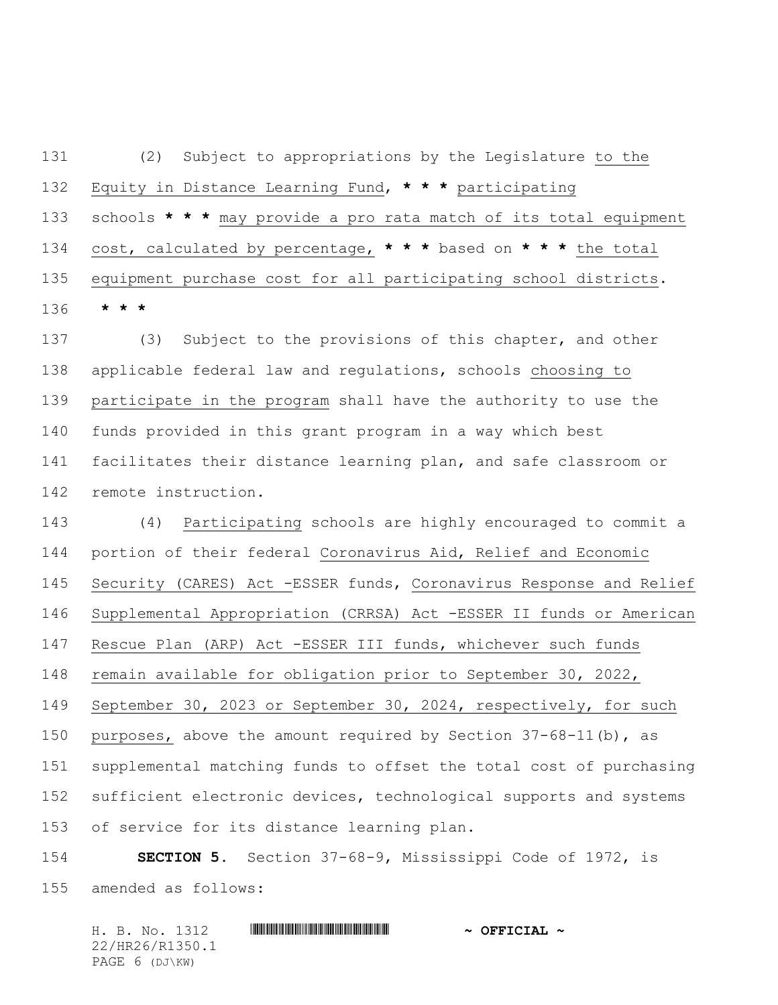(2) Subject to appropriations by the Legislature to the Equity in Distance Learning Fund, **\* \* \*** participating schools **\* \* \*** may provide a pro rata match of its total equipment cost, calculated by percentage, **\* \* \*** based on **\* \* \*** the total equipment purchase cost for all participating school districts. **\* \* \***

 (3) Subject to the provisions of this chapter, and other applicable federal law and regulations, schools choosing to participate in the program shall have the authority to use the funds provided in this grant program in a way which best facilitates their distance learning plan, and safe classroom or remote instruction.

 (4) Participating schools are highly encouraged to commit a portion of their federal Coronavirus Aid, Relief and Economic Security (CARES) Act -ESSER funds, Coronavirus Response and Relief Supplemental Appropriation (CRRSA) Act -ESSER II funds or American Rescue Plan (ARP) Act -ESSER III funds, whichever such funds remain available for obligation prior to September 30, 2022, September 30, 2023 or September 30, 2024, respectively, for such purposes, above the amount required by Section 37-68-11(b), as supplemental matching funds to offset the total cost of purchasing 152 sufficient electronic devices, technological supports and systems of service for its distance learning plan.

## **SECTION 5.** Section 37-68-9, Mississippi Code of 1972, is amended as follows:

H. B. No. 1312 \*HR26/R1350.1\* **~ OFFICIAL ~** 22/HR26/R1350.1 PAGE 6 (DJ\KW)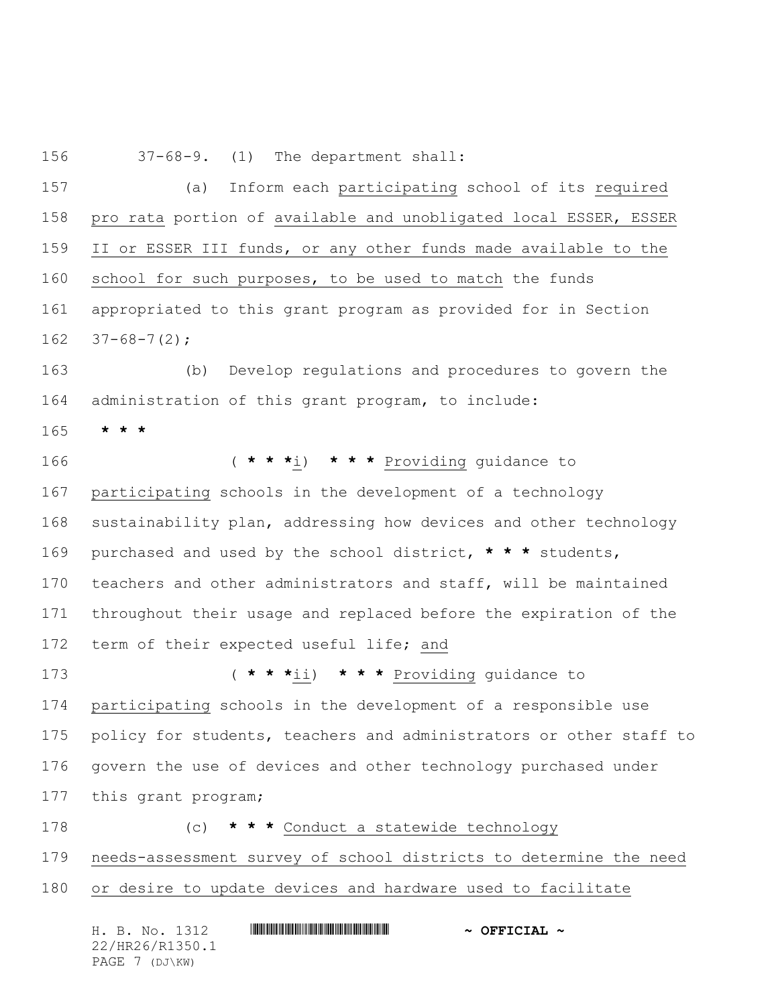37-68-9. (1) The department shall:

22/HR26/R1350.1 PAGE 7 (DJ\KW)

H. B. No. 1312 **. AND AND AN ABLE AND ARRIVE AT A DEFICIAL ~**  (a) Inform each participating school of its required pro rata portion of available and unobligated local ESSER, ESSER II or ESSER III funds, or any other funds made available to the school for such purposes, to be used to match the funds appropriated to this grant program as provided for in Section  $162 \quad 37 - 68 - 7(2)$ ; (b) Develop regulations and procedures to govern the administration of this grant program, to include: **\* \* \*** ( **\* \* \***i) **\* \* \*** Providing guidance to participating schools in the development of a technology sustainability plan, addressing how devices and other technology purchased and used by the school district, **\* \* \*** students, teachers and other administrators and staff, will be maintained throughout their usage and replaced before the expiration of the 172 term of their expected useful life; and ( **\* \* \***ii) **\* \* \*** Providing guidance to participating schools in the development of a responsible use policy for students, teachers and administrators or other staff to govern the use of devices and other technology purchased under this grant program; (c) **\* \* \*** Conduct a statewide technology needs-assessment survey of school districts to determine the need or desire to update devices and hardware used to facilitate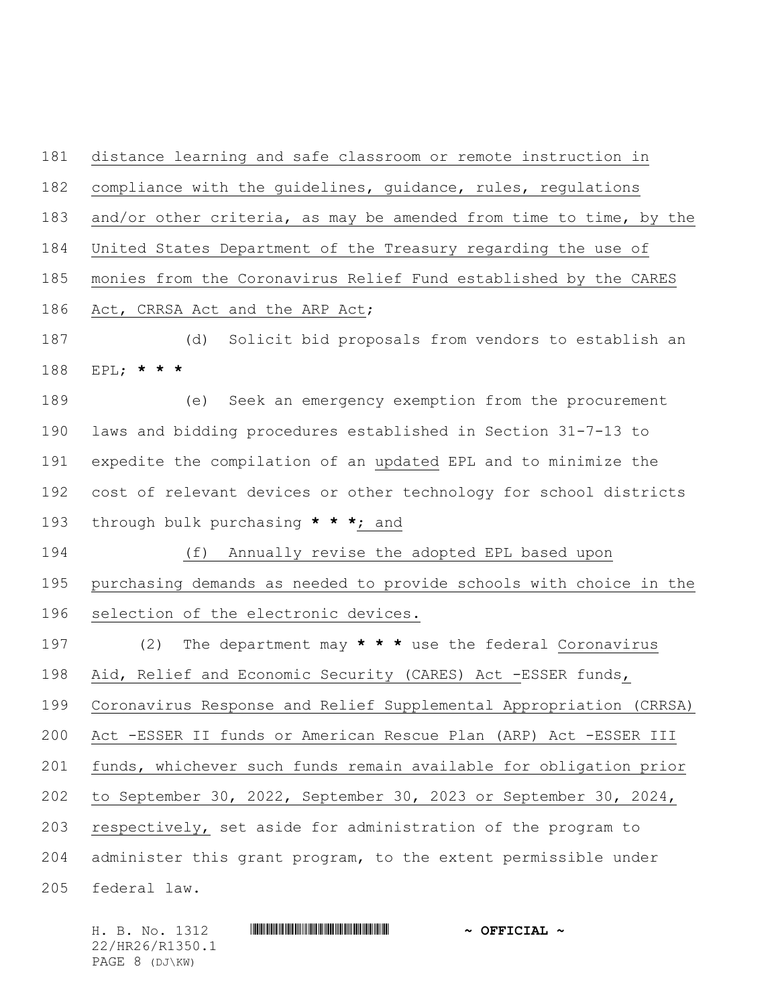distance learning and safe classroom or remote instruction in compliance with the guidelines, guidance, rules, regulations and/or other criteria, as may be amended from time to time, by the United States Department of the Treasury regarding the use of monies from the Coronavirus Relief Fund established by the CARES 186 Act, CRRSA Act and the ARP Act; (d) Solicit bid proposals from vendors to establish an EPL; **\* \* \*** (e) Seek an emergency exemption from the procurement laws and bidding procedures established in Section 31-7-13 to expedite the compilation of an updated EPL and to minimize the cost of relevant devices or other technology for school districts through bulk purchasing **\* \* \***; and (f) Annually revise the adopted EPL based upon purchasing demands as needed to provide schools with choice in the selection of the electronic devices. (2) The department may **\* \* \*** use the federal Coronavirus Aid, Relief and Economic Security (CARES) Act -ESSER funds, Coronavirus Response and Relief Supplemental Appropriation (CRRSA) Act -ESSER II funds or American Rescue Plan (ARP) Act -ESSER III funds, whichever such funds remain available for obligation prior to September 30, 2022, September 30, 2023 or September 30, 2024, respectively, set aside for administration of the program to administer this grant program, to the extent permissible under federal law.

H. B. No. 1312 **HRANGING CONSTRUCT 1 ~ OFFICIAL ~** 22/HR26/R1350.1 PAGE 8 (DJ\KW)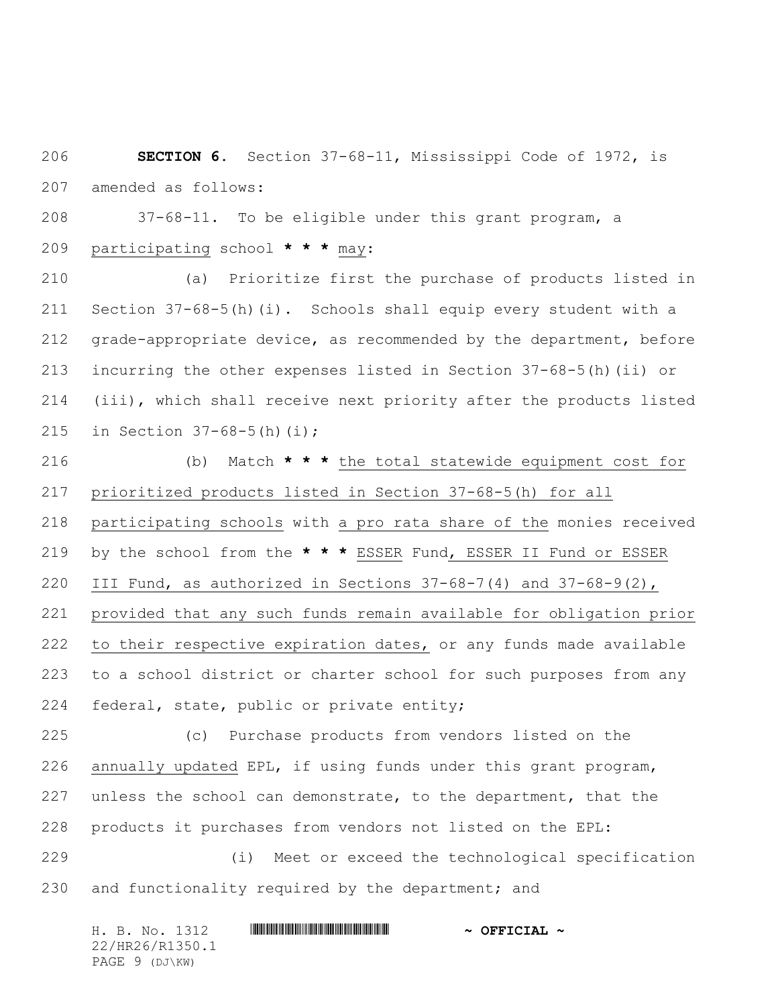**SECTION 6.** Section 37-68-11, Mississippi Code of 1972, is amended as follows:

 37-68-11. To be eligible under this grant program, a participating school **\* \* \*** may:

 (a) Prioritize first the purchase of products listed in Section 37-68-5(h)(i). Schools shall equip every student with a grade-appropriate device, as recommended by the department, before incurring the other expenses listed in Section 37-68-5(h)(ii) or (iii), which shall receive next priority after the products listed in Section 37-68-5(h)(i);

 (b) Match **\* \* \*** the total statewide equipment cost for prioritized products listed in Section 37-68-5(h) for all participating schools with a pro rata share of the monies received by the school from the **\* \* \*** ESSER Fund, ESSER II Fund or ESSER 220 III Fund, as authorized in Sections  $37-68-7(4)$  and  $37-68-9(2)$ , provided that any such funds remain available for obligation prior to their respective expiration dates, or any funds made available to a school district or charter school for such purposes from any federal, state, public or private entity;

 (c) Purchase products from vendors listed on the annually updated EPL, if using funds under this grant program, unless the school can demonstrate, to the department, that the products it purchases from vendors not listed on the EPL:

 (i) Meet or exceed the technological specification and functionality required by the department; and

| H. B. No. 1312  | $\sim$ OFFICIAL $\sim$ |
|-----------------|------------------------|
| 22/HR26/R1350.1 |                        |
| PAGE 9 (DJ\KW)  |                        |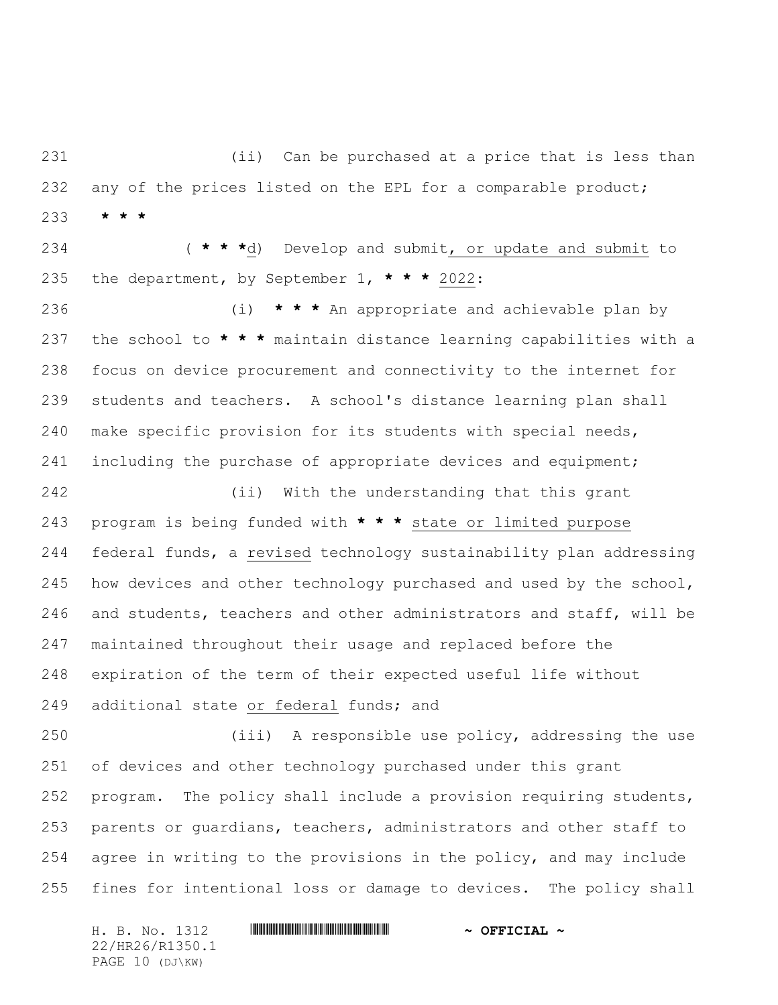(ii) Can be purchased at a price that is less than 232 any of the prices listed on the EPL for a comparable product; **\* \* \***

 ( **\* \* \***d) Develop and submit, or update and submit to the department, by September 1, **\* \* \*** 2022:

 (i) **\* \* \*** An appropriate and achievable plan by the school to **\* \* \*** maintain distance learning capabilities with a focus on device procurement and connectivity to the internet for students and teachers. A school's distance learning plan shall make specific provision for its students with special needs, including the purchase of appropriate devices and equipment;

 (ii) With the understanding that this grant program is being funded with **\* \* \*** state or limited purpose federal funds, a revised technology sustainability plan addressing 245 how devices and other technology purchased and used by the school, and students, teachers and other administrators and staff, will be maintained throughout their usage and replaced before the expiration of the term of their expected useful life without additional state or federal funds; and

 (iii) A responsible use policy, addressing the use of devices and other technology purchased under this grant program. The policy shall include a provision requiring students, parents or guardians, teachers, administrators and other staff to agree in writing to the provisions in the policy, and may include fines for intentional loss or damage to devices. The policy shall

22/HR26/R1350.1 PAGE 10 (DJ\KW)

H. B. No. 1312 **. AND AND AN ABLE AND ARRIVE AT A DEFICIAL ~**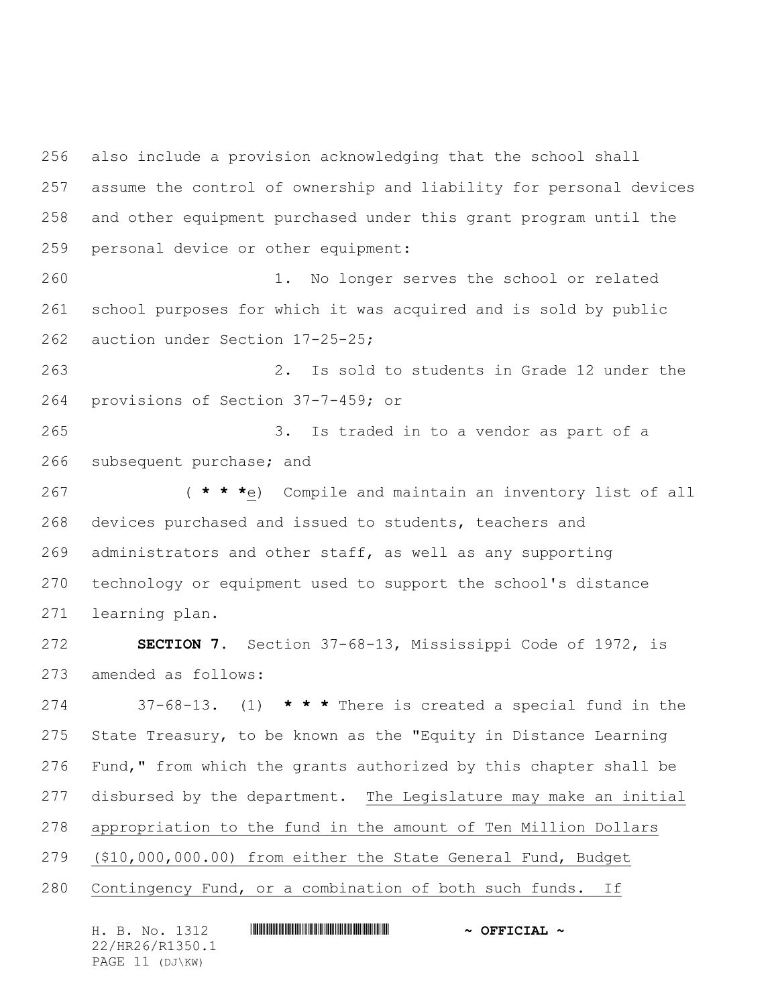also include a provision acknowledging that the school shall assume the control of ownership and liability for personal devices and other equipment purchased under this grant program until the personal device or other equipment:

 1. No longer serves the school or related school purposes for which it was acquired and is sold by public auction under Section 17-25-25;

 2. Is sold to students in Grade 12 under the provisions of Section 37-7-459; or

 3. Is traded in to a vendor as part of a subsequent purchase; and

 ( **\* \* \***e) Compile and maintain an inventory list of all devices purchased and issued to students, teachers and administrators and other staff, as well as any supporting technology or equipment used to support the school's distance learning plan.

 **SECTION 7.** Section 37-68-13, Mississippi Code of 1972, is amended as follows:

 37-68-13. (1) **\* \* \*** There is created a special fund in the State Treasury, to be known as the "Equity in Distance Learning Fund," from which the grants authorized by this chapter shall be disbursed by the department. The Legislature may make an initial appropriation to the fund in the amount of Ten Million Dollars (\$10,000,000.00) from either the State General Fund, Budget Contingency Fund, or a combination of both such funds. If

| H. B. No. 1312  | $\sim$ OFFICIAL $\sim$ |
|-----------------|------------------------|
| 22/HR26/R1350.1 |                        |
| PAGE 11 (DJ\KW) |                        |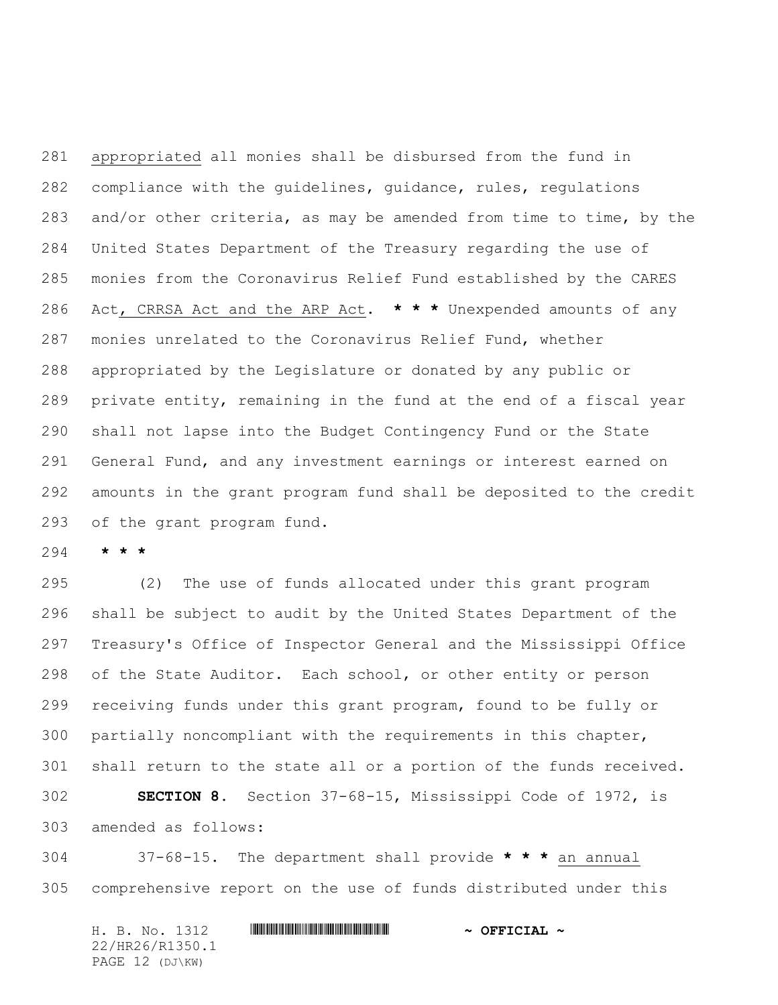appropriated all monies shall be disbursed from the fund in compliance with the guidelines, guidance, rules, regulations and/or other criteria, as may be amended from time to time, by the United States Department of the Treasury regarding the use of monies from the Coronavirus Relief Fund established by the CARES Act, CRRSA Act and the ARP Act. **\* \* \*** Unexpended amounts of any monies unrelated to the Coronavirus Relief Fund, whether appropriated by the Legislature or donated by any public or private entity, remaining in the fund at the end of a fiscal year shall not lapse into the Budget Contingency Fund or the State General Fund, and any investment earnings or interest earned on amounts in the grant program fund shall be deposited to the credit of the grant program fund.

**\* \* \***

 (2) The use of funds allocated under this grant program shall be subject to audit by the United States Department of the Treasury's Office of Inspector General and the Mississippi Office of the State Auditor. Each school, or other entity or person receiving funds under this grant program, found to be fully or partially noncompliant with the requirements in this chapter, shall return to the state all or a portion of the funds received. **SECTION 8.** Section 37-68-15, Mississippi Code of 1972, is

amended as follows:

 37-68-15. The department shall provide **\* \* \*** an annual comprehensive report on the use of funds distributed under this

H. B. No. 1312 \*HR26/R1350.1\* **~ OFFICIAL ~** 22/HR26/R1350.1 PAGE 12 (DJ\KW)